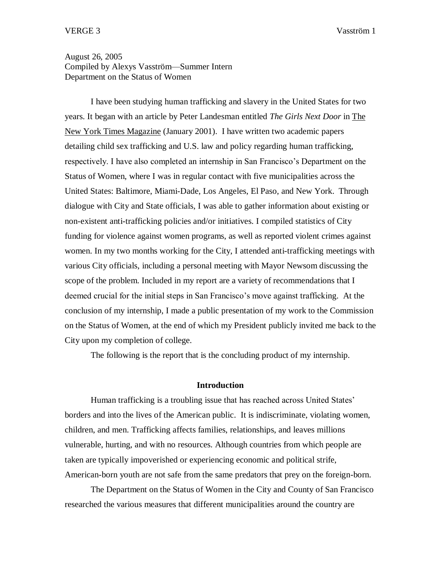# August 26, 2005 Compiled by Alexys Vasström—Summer Intern Department on the Status of Women

I have been studying human trafficking and slavery in the United States for two years. It began with an article by Peter Landesman entitled *The Girls Next Door* in The New York Times Magazine (January 2001). I have written two academic papers detailing child sex trafficking and U.S. law and policy regarding human trafficking, respectively. I have also completed an internship in San Francisco's Department on the Status of Women, where I was in regular contact with five municipalities across the United States: Baltimore, Miami-Dade, Los Angeles, El Paso, and New York. Through dialogue with City and State officials, I was able to gather information about existing or non-existent anti-trafficking policies and/or initiatives. I compiled statistics of City funding for violence against women programs, as well as reported violent crimes against women. In my two months working for the City, I attended anti-trafficking meetings with various City officials, including a personal meeting with Mayor Newsom discussing the scope of the problem. Included in my report are a variety of recommendations that I deemed crucial for the initial steps in San Francisco's move against trafficking. At the conclusion of my internship, I made a public presentation of my work to the Commission on the Status of Women, at the end of which my President publicly invited me back to the City upon my completion of college.

The following is the report that is the concluding product of my internship.

## **Introduction**

Human trafficking is a troubling issue that has reached across United States' borders and into the lives of the American public. It is indiscriminate, violating women, children, and men. Trafficking affects families, relationships, and leaves millions vulnerable, hurting, and with no resources. Although countries from which people are taken are typically impoverished or experiencing economic and political strife, American-born youth are not safe from the same predators that prey on the foreign-born.

The Department on the Status of Women in the City and County of San Francisco researched the various measures that different municipalities around the country are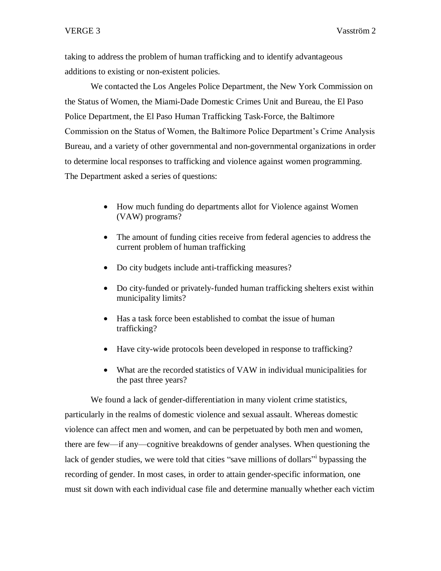taking to address the problem of human trafficking and to identify advantageous additions to existing or non-existent policies.

We contacted the Los Angeles Police Department, the New York Commission on the Status of Women, the Miami-Dade Domestic Crimes Unit and Bureau, the El Paso Police Department, the El Paso Human Trafficking Task-Force, the Baltimore Commission on the Status of Women, the Baltimore Police Department's Crime Analysis Bureau, and a variety of other governmental and non-governmental organizations in order to determine local responses to trafficking and violence against women programming. The Department asked a series of questions:

- How much funding do departments allot for Violence against Women (VAW) programs?
- The amount of funding cities receive from federal agencies to address the current problem of human trafficking
- Do city budgets include anti-trafficking measures?
- Do city-funded or privately-funded human trafficking shelters exist within municipality limits?
- Has a task force been established to combat the issue of human trafficking?
- Have city-wide protocols been developed in response to trafficking?
- What are the recorded statistics of VAW in individual municipalities for the past three years?

We found a lack of gender-differentiation in many violent crime statistics, particularly in the realms of domestic violence and sexual assault. Whereas domestic violence can affect men and women, and can be perpetuated by both men and women, there are few—if any—cognitive breakdowns of gender analyses. When questioning the lack of gender studies, we were told that cities "save millions of dollars" by passing the recording of gender. In most cases, in order to attain gender-specific information, one must sit down with each individual case file and determine manually whether each victim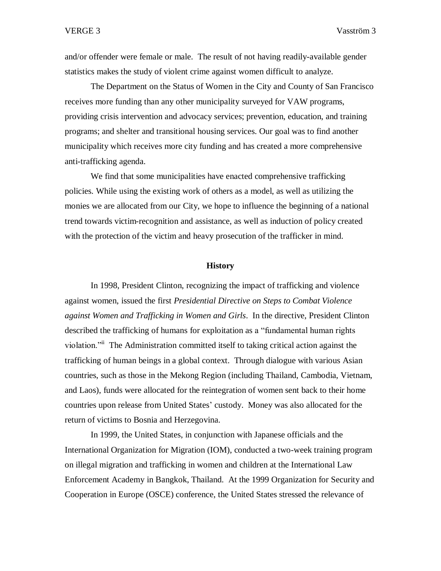and/or offender were female or male. The result of not having readily-available gender statistics makes the study of violent crime against women difficult to analyze.

The Department on the Status of Women in the City and County of San Francisco receives more funding than any other municipality surveyed for VAW programs, providing crisis intervention and advocacy services; prevention, education, and training programs; and shelter and transitional housing services. Our goal was to find another municipality which receives more city funding and has created a more comprehensive anti-trafficking agenda.

We find that some municipalities have enacted comprehensive trafficking policies. While using the existing work of others as a model, as well as utilizing the monies we are allocated from our City, we hope to influence the beginning of a national trend towards victim-recognition and assistance, as well as induction of policy created with the protection of the victim and heavy prosecution of the trafficker in mind.

### **History**

In 1998, President Clinton, recognizing the impact of trafficking and violence against women, issued the first *Presidential Directive on Steps to Combat Violence against Women and Trafficking in Women and Girls*. In the directive, President Clinton described the trafficking of humans for exploitation as a "fundamental human rights violation.<sup>"ii</sup> The Administration committed itself to taking critical action against the trafficking of human beings in a global context. Through dialogue with various Asian countries, such as those in the Mekong Region (including Thailand, Cambodia, Vietnam, and Laos), funds were allocated for the reintegration of women sent back to their home countries upon release from United States' custody. Money was also allocated for the return of victims to Bosnia and Herzegovina.

In 1999, the United States, in conjunction with Japanese officials and the International Organization for Migration (IOM), conducted a two-week training program on illegal migration and trafficking in women and children at the International Law Enforcement Academy in Bangkok, Thailand. At the 1999 Organization for Security and Cooperation in Europe (OSCE) conference, the United States stressed the relevance of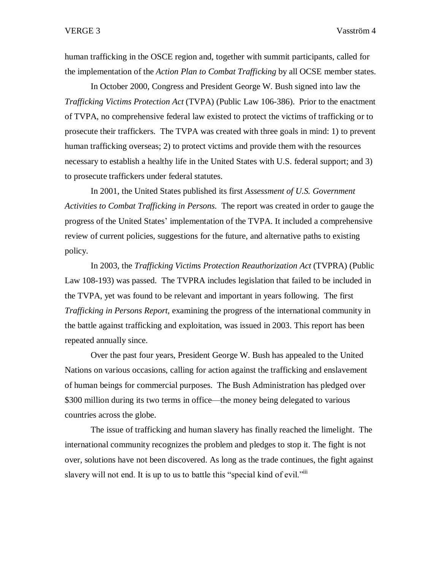human trafficking in the OSCE region and, together with summit participants, called for the implementation of the *Action Plan to Combat Trafficking* by all OCSE member states.

In October 2000, Congress and President George W. Bush signed into law the *Trafficking Victims Protection Act* (TVPA) (Public Law 106-386). Prior to the enactment of TVPA, no comprehensive federal law existed to protect the victims of trafficking or to prosecute their traffickers. The TVPA was created with three goals in mind: 1) to prevent human trafficking overseas; 2) to protect victims and provide them with the resources necessary to establish a healthy life in the United States with U.S. federal support; and 3) to prosecute traffickers under federal statutes.

In 2001, the United States published its first *Assessment of U.S. Government Activities to Combat Trafficking in Persons*. The report was created in order to gauge the progress of the United States' implementation of the TVPA. It included a comprehensive review of current policies, suggestions for the future, and alternative paths to existing policy.

In 2003, the *Trafficking Victims Protection Reauthorization Act* (TVPRA) (Public Law 108-193) was passed. The TVPRA includes legislation that failed to be included in the TVPA, yet was found to be relevant and important in years following. The first *Trafficking in Persons Report,* examining the progress of the international community in the battle against trafficking and exploitation, was issued in 2003. This report has been repeated annually since.

Over the past four years, President George W. Bush has appealed to the United Nations on various occasions, calling for action against the trafficking and enslavement of human beings for commercial purposes. The Bush Administration has pledged over \$300 million during its two terms in office—the money being delegated to various countries across the globe.

The issue of trafficking and human slavery has finally reached the limelight. The international community recognizes the problem and pledges to stop it. The fight is not over, solutions have not been discovered. As long as the trade continues, the fight against slavery will not end. It is up to us to battle this "special kind of evil."<sup>iii</sup>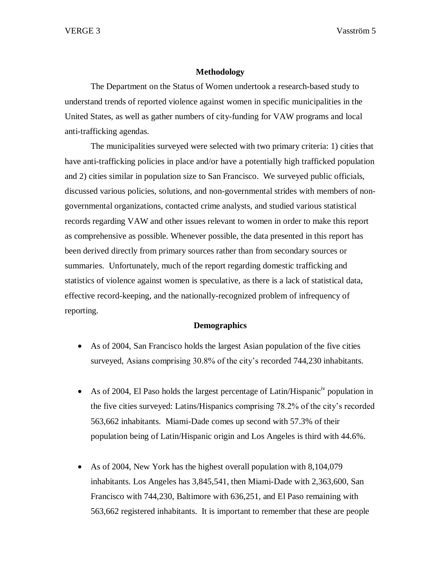# **Methodology**

The Department on the Status of Women undertook a research-based study to understand trends of reported violence against women in specific municipalities in the United States, as well as gather numbers of city-funding for VAW programs and local anti-trafficking agendas.

The municipalities surveyed were selected with two primary criteria: 1) cities that have anti-trafficking policies in place and/or have a potentially high trafficked population and 2) cities similar in population size to San Francisco. We surveyed public officials, discussed various policies, solutions, and non-governmental strides with members of nongovernmental organizations, contacted crime analysts, and studied various statistical records regarding VAW and other issues relevant to women in order to make this report as comprehensive as possible. Whenever possible, the data presented in this report has been derived directly from primary sources rather than from secondary sources or summaries. Unfortunately, much of the report regarding domestic trafficking and statistics of violence against women is speculative, as there is a lack of statistical data, effective record-keeping, and the nationally-recognized problem of infrequency of reporting.

# **Demographics**

- As of 2004, San Francisco holds the largest Asian population of the five cities surveyed, Asians comprising 30.8% of the city's recorded 744,230 inhabitants.
- As of 2004, El Paso holds the largest percentage of Latin/Hispanic<sup>iv</sup> population in the five cities surveyed: Latins/Hispanics comprising 78.2% of the city's recorded 563,662 inhabitants. Miami-Dade comes up second with 57.3% of their population being of Latin/Hispanic origin and Los Angeles is third with 44.6%.
- As of 2004, New York has the highest overall population with 8,104,079 inhabitants. Los Angeles has 3,845,541, then Miami-Dade with 2,363,600, San Francisco with 744,230, Baltimore with 636,251, and El Paso remaining with 563,662 registered inhabitants. It is important to remember that these are people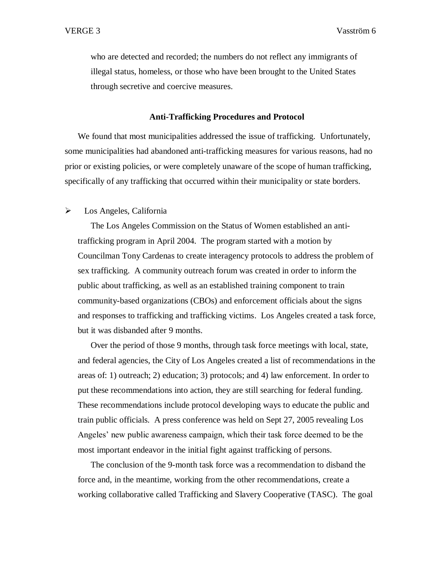who are detected and recorded; the numbers do not reflect any immigrants of illegal status, homeless, or those who have been brought to the United States through secretive and coercive measures.

### **Anti-Trafficking Procedures and Protocol**

We found that most municipalities addressed the issue of trafficking. Unfortunately, some municipalities had abandoned anti-trafficking measures for various reasons, had no prior or existing policies, or were completely unaware of the scope of human trafficking, specifically of any trafficking that occurred within their municipality or state borders.

### $\triangleright$  Los Angeles, California

The Los Angeles Commission on the Status of Women established an antitrafficking program in April 2004. The program started with a motion by Councilman Tony Cardenas to create interagency protocols to address the problem of sex trafficking. A community outreach forum was created in order to inform the public about trafficking, as well as an established training component to train community-based organizations (CBOs) and enforcement officials about the signs and responses to trafficking and trafficking victims. Los Angeles created a task force, but it was disbanded after 9 months.

Over the period of those 9 months, through task force meetings with local, state, and federal agencies, the City of Los Angeles created a list of recommendations in the areas of: 1) outreach; 2) education; 3) protocols; and 4) law enforcement. In order to put these recommendations into action, they are still searching for federal funding. These recommendations include protocol developing ways to educate the public and train public officials. A press conference was held on Sept 27, 2005 revealing Los Angeles' new public awareness campaign, which their task force deemed to be the most important endeavor in the initial fight against trafficking of persons.

The conclusion of the 9-month task force was a recommendation to disband the force and, in the meantime, working from the other recommendations, create a working collaborative called Trafficking and Slavery Cooperative (TASC). The goal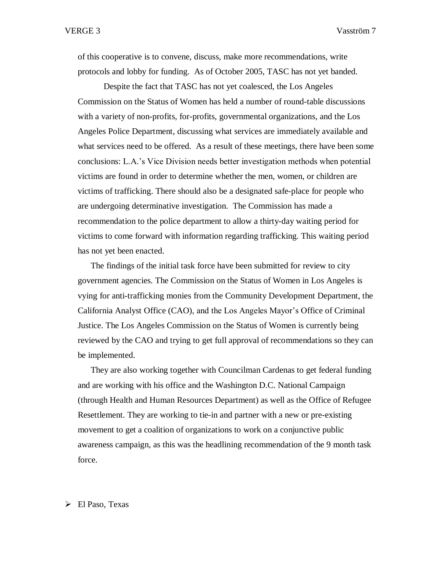of this cooperative is to convene, discuss, make more recommendations, write protocols and lobby for funding. As of October 2005, TASC has not yet banded.

Despite the fact that TASC has not yet coalesced, the Los Angeles Commission on the Status of Women has held a number of round-table discussions with a variety of non-profits, for-profits, governmental organizations, and the Los Angeles Police Department, discussing what services are immediately available and what services need to be offered. As a result of these meetings, there have been some conclusions: L.A.'s Vice Division needs better investigation methods when potential victims are found in order to determine whether the men, women, or children are victims of trafficking. There should also be a designated safe-place for people who are undergoing determinative investigation. The Commission has made a recommendation to the police department to allow a thirty-day waiting period for victims to come forward with information regarding trafficking. This waiting period has not yet been enacted.

The findings of the initial task force have been submitted for review to city government agencies. The Commission on the Status of Women in Los Angeles is vying for anti-trafficking monies from the Community Development Department, the California Analyst Office (CAO), and the Los Angeles Mayor's Office of Criminal Justice. The Los Angeles Commission on the Status of Women is currently being reviewed by the CAO and trying to get full approval of recommendations so they can be implemented.

They are also working together with Councilman Cardenas to get federal funding and are working with his office and the Washington D.C. National Campaign (through Health and Human Resources Department) as well as the Office of Refugee Resettlement. They are working to tie-in and partner with a new or pre-existing movement to get a coalition of organizations to work on a conjunctive public awareness campaign, as this was the headlining recommendation of the 9 month task force.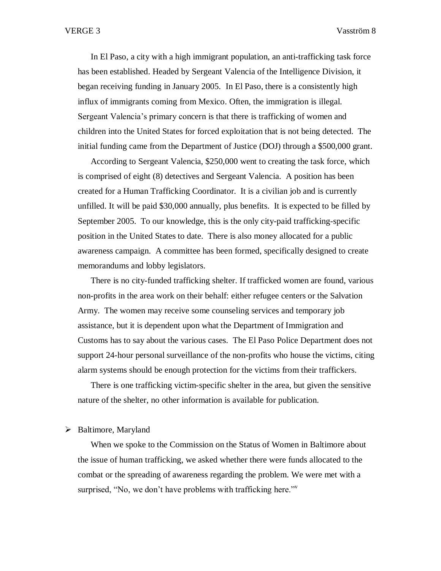In El Paso, a city with a high immigrant population, an anti-trafficking task force has been established. Headed by Sergeant Valencia of the Intelligence Division, it began receiving funding in January 2005. In El Paso, there is a consistently high influx of immigrants coming from Mexico. Often, the immigration is illegal. Sergeant Valencia's primary concern is that there is trafficking of women and children into the United States for forced exploitation that is not being detected. The initial funding came from the Department of Justice (DOJ) through a \$500,000 grant.

According to Sergeant Valencia, \$250,000 went to creating the task force, which is comprised of eight (8) detectives and Sergeant Valencia. A position has been created for a Human Trafficking Coordinator. It is a civilian job and is currently unfilled. It will be paid \$30,000 annually, plus benefits. It is expected to be filled by September 2005. To our knowledge, this is the only city-paid trafficking-specific position in the United States to date. There is also money allocated for a public awareness campaign. A committee has been formed, specifically designed to create memorandums and lobby legislators.

There is no city-funded trafficking shelter. If trafficked women are found, various non-profits in the area work on their behalf: either refugee centers or the Salvation Army. The women may receive some counseling services and temporary job assistance, but it is dependent upon what the Department of Immigration and Customs has to say about the various cases. The El Paso Police Department does not support 24-hour personal surveillance of the non-profits who house the victims, citing alarm systems should be enough protection for the victims from their traffickers.

There is one trafficking victim-specific shelter in the area, but given the sensitive nature of the shelter, no other information is available for publication.

# $\triangleright$  Baltimore, Maryland

When we spoke to the Commission on the Status of Women in Baltimore about the issue of human trafficking, we asked whether there were funds allocated to the combat or the spreading of awareness regarding the problem. We were met with a surprised, "No, we don't have problems with trafficking here."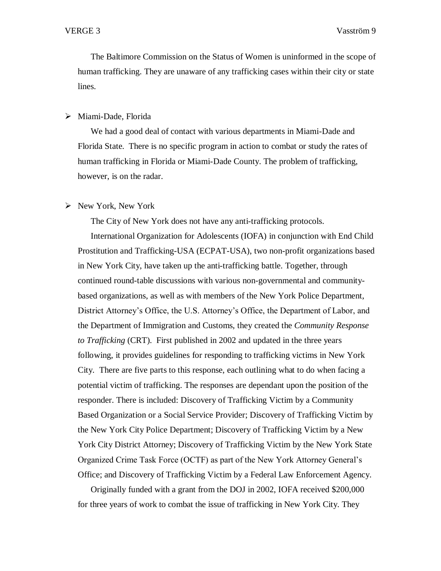The Baltimore Commission on the Status of Women is uninformed in the scope of human trafficking. They are unaware of any trafficking cases within their city or state lines.

## Miami-Dade, Florida

We had a good deal of contact with various departments in Miami-Dade and Florida State. There is no specific program in action to combat or study the rates of human trafficking in Florida or Miami-Dade County. The problem of trafficking, however, is on the radar.

### $\triangleright$  New York, New York

The City of New York does not have any anti-trafficking protocols.

International Organization for Adolescents (IOFA) in conjunction with End Child Prostitution and Trafficking-USA (ECPAT-USA), two non-profit organizations based in New York City, have taken up the anti-trafficking battle. Together, through continued round-table discussions with various non-governmental and communitybased organizations, as well as with members of the New York Police Department, District Attorney's Office, the U.S. Attorney's Office, the Department of Labor, and the Department of Immigration and Customs, they created the *Community Response to Trafficking* (CRT). First published in 2002 and updated in the three years following, it provides guidelines for responding to trafficking victims in New York City. There are five parts to this response, each outlining what to do when facing a potential victim of trafficking. The responses are dependant upon the position of the responder. There is included: Discovery of Trafficking Victim by a Community Based Organization or a Social Service Provider; Discovery of Trafficking Victim by the New York City Police Department; Discovery of Trafficking Victim by a New York City District Attorney; Discovery of Trafficking Victim by the New York State Organized Crime Task Force (OCTF) as part of the New York Attorney General's Office; and Discovery of Trafficking Victim by a Federal Law Enforcement Agency.

Originally funded with a grant from the DOJ in 2002, IOFA received \$200,000 for three years of work to combat the issue of trafficking in New York City. They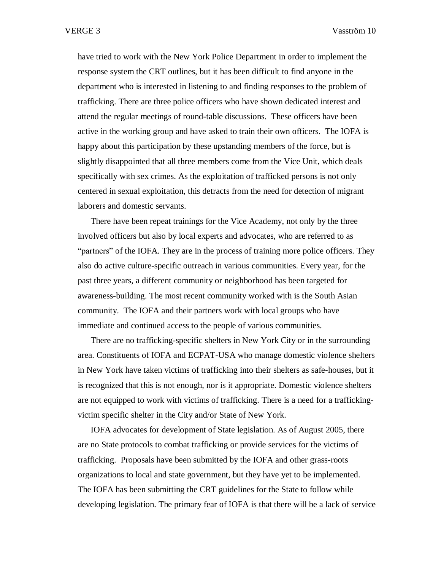have tried to work with the New York Police Department in order to implement the response system the CRT outlines, but it has been difficult to find anyone in the department who is interested in listening to and finding responses to the problem of trafficking. There are three police officers who have shown dedicated interest and attend the regular meetings of round-table discussions. These officers have been active in the working group and have asked to train their own officers. The IOFA is happy about this participation by these upstanding members of the force, but is slightly disappointed that all three members come from the Vice Unit, which deals specifically with sex crimes. As the exploitation of trafficked persons is not only centered in sexual exploitation, this detracts from the need for detection of migrant laborers and domestic servants.

There have been repeat trainings for the Vice Academy, not only by the three involved officers but also by local experts and advocates, who are referred to as "partners" of the IOFA. They are in the process of training more police officers. They also do active culture-specific outreach in various communities. Every year, for the past three years, a different community or neighborhood has been targeted for awareness-building. The most recent community worked with is the South Asian community. The IOFA and their partners work with local groups who have immediate and continued access to the people of various communities.

There are no trafficking-specific shelters in New York City or in the surrounding area. Constituents of IOFA and ECPAT-USA who manage domestic violence shelters in New York have taken victims of trafficking into their shelters as safe-houses, but it is recognized that this is not enough, nor is it appropriate. Domestic violence shelters are not equipped to work with victims of trafficking. There is a need for a traffickingvictim specific shelter in the City and/or State of New York.

IOFA advocates for development of State legislation. As of August 2005, there are no State protocols to combat trafficking or provide services for the victims of trafficking. Proposals have been submitted by the IOFA and other grass-roots organizations to local and state government, but they have yet to be implemented. The IOFA has been submitting the CRT guidelines for the State to follow while developing legislation. The primary fear of IOFA is that there will be a lack of service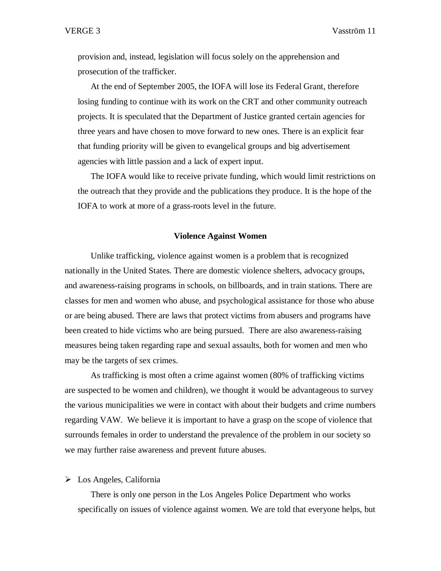provision and, instead, legislation will focus solely on the apprehension and prosecution of the trafficker.

At the end of September 2005, the IOFA will lose its Federal Grant, therefore losing funding to continue with its work on the CRT and other community outreach projects. It is speculated that the Department of Justice granted certain agencies for three years and have chosen to move forward to new ones. There is an explicit fear that funding priority will be given to evangelical groups and big advertisement agencies with little passion and a lack of expert input.

The IOFA would like to receive private funding, which would limit restrictions on the outreach that they provide and the publications they produce. It is the hope of the IOFA to work at more of a grass-roots level in the future.

### **Violence Against Women**

Unlike trafficking, violence against women is a problem that is recognized nationally in the United States. There are domestic violence shelters, advocacy groups, and awareness-raising programs in schools, on billboards, and in train stations. There are classes for men and women who abuse, and psychological assistance for those who abuse or are being abused. There are laws that protect victims from abusers and programs have been created to hide victims who are being pursued. There are also awareness-raising measures being taken regarding rape and sexual assaults, both for women and men who may be the targets of sex crimes.

As trafficking is most often a crime against women (80% of trafficking victims are suspected to be women and children), we thought it would be advantageous to survey the various municipalities we were in contact with about their budgets and crime numbers regarding VAW. We believe it is important to have a grasp on the scope of violence that surrounds females in order to understand the prevalence of the problem in our society so we may further raise awareness and prevent future abuses.

### Los Angeles, California

There is only one person in the Los Angeles Police Department who works specifically on issues of violence against women. We are told that everyone helps, but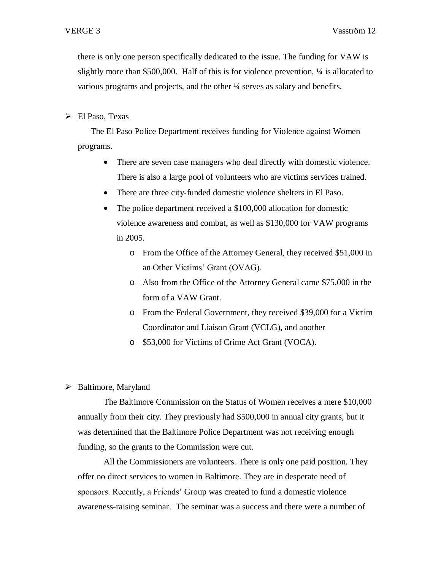there is only one person specifically dedicated to the issue. The funding for VAW is slightly more than \$500,000. Half of this is for violence prevention, ¼ is allocated to various programs and projects, and the other ¼ serves as salary and benefits.

El Paso, Texas

The El Paso Police Department receives funding for Violence against Women programs.

- There are seven case managers who deal directly with domestic violence. There is also a large pool of volunteers who are victims services trained.
- There are three city-funded domestic violence shelters in El Paso.
- The police department received a \$100,000 allocation for domestic violence awareness and combat, as well as \$130,000 for VAW programs in 2005.
	- o From the Office of the Attorney General, they received \$51,000 in an Other Victims' Grant (OVAG).
	- o Also from the Office of the Attorney General came \$75,000 in the form of a VAW Grant.
	- o From the Federal Government, they received \$39,000 for a Victim Coordinator and Liaison Grant (VCLG), and another

o \$53,000 for Victims of Crime Act Grant (VOCA).

 $\triangleright$  Baltimore, Maryland

The Baltimore Commission on the Status of Women receives a mere \$10,000 annually from their city. They previously had \$500,000 in annual city grants, but it was determined that the Baltimore Police Department was not receiving enough funding, so the grants to the Commission were cut.

All the Commissioners are volunteers. There is only one paid position. They offer no direct services to women in Baltimore. They are in desperate need of sponsors. Recently, a Friends' Group was created to fund a domestic violence awareness-raising seminar. The seminar was a success and there were a number of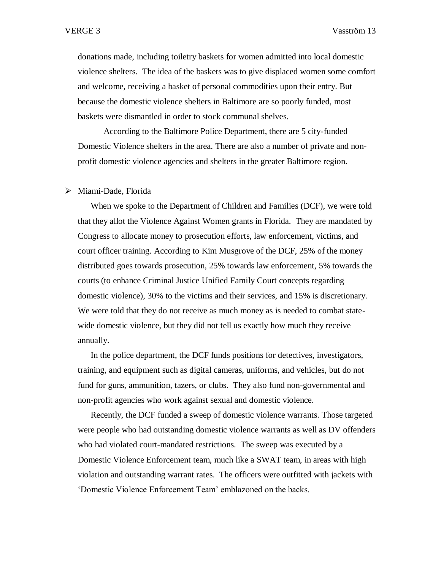donations made, including toiletry baskets for women admitted into local domestic violence shelters. The idea of the baskets was to give displaced women some comfort and welcome, receiving a basket of personal commodities upon their entry. But because the domestic violence shelters in Baltimore are so poorly funded, most baskets were dismantled in order to stock communal shelves.

According to the Baltimore Police Department, there are 5 city-funded Domestic Violence shelters in the area. There are also a number of private and nonprofit domestic violence agencies and shelters in the greater Baltimore region.

#### Miami-Dade, Florida

When we spoke to the Department of Children and Families (DCF), we were told that they allot the Violence Against Women grants in Florida. They are mandated by Congress to allocate money to prosecution efforts, law enforcement, victims, and court officer training. According to Kim Musgrove of the DCF, 25% of the money distributed goes towards prosecution, 25% towards law enforcement, 5% towards the courts (to enhance Criminal Justice Unified Family Court concepts regarding domestic violence), 30% to the victims and their services, and 15% is discretionary. We were told that they do not receive as much money as is needed to combat statewide domestic violence, but they did not tell us exactly how much they receive annually.

In the police department, the DCF funds positions for detectives, investigators, training, and equipment such as digital cameras, uniforms, and vehicles, but do not fund for guns, ammunition, tazers, or clubs. They also fund non-governmental and non-profit agencies who work against sexual and domestic violence.

Recently, the DCF funded a sweep of domestic violence warrants. Those targeted were people who had outstanding domestic violence warrants as well as DV offenders who had violated court-mandated restrictions. The sweep was executed by a Domestic Violence Enforcement team, much like a SWAT team, in areas with high violation and outstanding warrant rates. The officers were outfitted with jackets with 'Domestic Violence Enforcement Team' emblazoned on the backs.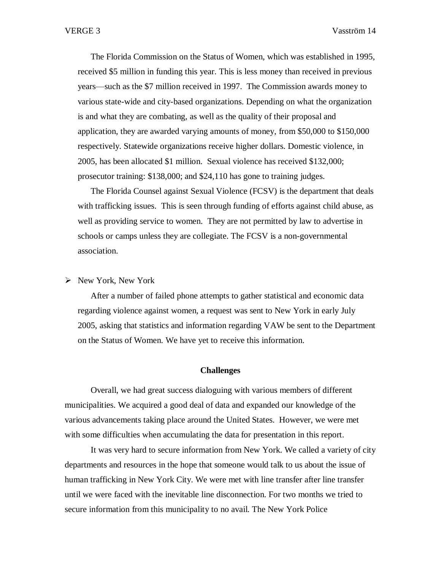The Florida Commission on the Status of Women, which was established in 1995, received \$5 million in funding this year. This is less money than received in previous years—such as the \$7 million received in 1997. The Commission awards money to various state-wide and city-based organizations. Depending on what the organization is and what they are combating, as well as the quality of their proposal and application, they are awarded varying amounts of money, from \$50,000 to \$150,000 respectively. Statewide organizations receive higher dollars. Domestic violence, in 2005, has been allocated \$1 million. Sexual violence has received \$132,000; prosecutor training: \$138,000; and \$24,110 has gone to training judges.

The Florida Counsel against Sexual Violence (FCSV) is the department that deals with trafficking issues. This is seen through funding of efforts against child abuse, as well as providing service to women. They are not permitted by law to advertise in schools or camps unless they are collegiate. The FCSV is a non-governmental association.

 $\triangleright$  New York, New York

After a number of failed phone attempts to gather statistical and economic data regarding violence against women, a request was sent to New York in early July 2005, asking that statistics and information regarding VAW be sent to the Department on the Status of Women. We have yet to receive this information.

## **Challenges**

Overall, we had great success dialoguing with various members of different municipalities. We acquired a good deal of data and expanded our knowledge of the various advancements taking place around the United States. However, we were met with some difficulties when accumulating the data for presentation in this report.

It was very hard to secure information from New York. We called a variety of city departments and resources in the hope that someone would talk to us about the issue of human trafficking in New York City. We were met with line transfer after line transfer until we were faced with the inevitable line disconnection. For two months we tried to secure information from this municipality to no avail. The New York Police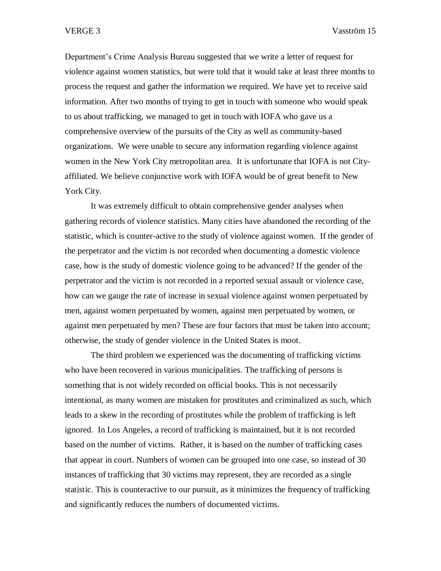Department's Crime Analysis Bureau suggested that we write a letter of request for violence against women statistics, but were told that it would take at least three months to process the request and gather the information we required. We have yet to receive said information. After two months of trying to get in touch with someone who would speak to us about trafficking, we managed to get in touch with IOFA who gave us a comprehensive overview of the pursuits of the City as well as community-based organizations. We were unable to secure any information regarding violence against women in the New York City metropolitan area. It is unfortunate that IOFA is not Cityaffiliated. We believe conjunctive work with IOFA would be of great benefit to New York City.

It was extremely difficult to obtain comprehensive gender analyses when gathering records of violence statistics. Many cities have abandoned the recording of the statistic, which is counter-active to the study of violence against women. If the gender of the perpetrator and the victim is not recorded when documenting a domestic violence case, how is the study of domestic violence going to be advanced? If the gender of the perpetrator and the victim is not recorded in a reported sexual assault or violence case, how can we gauge the rate of increase in sexual violence against women perpetuated by men, against women perpetuated by women, against men perpetuated by women, or against men perpetuated by men? These are four factors that must be taken into account; otherwise, the study of gender violence in the United States is moot.

The third problem we experienced was the documenting of trafficking victims who have been recovered in various municipalities. The trafficking of persons is something that is not widely recorded on official books. This is not necessarily intentional, as many women are mistaken for prostitutes and criminalized as such, which leads to a skew in the recording of prostitutes while the problem of trafficking is left ignored. In Los Angeles, a record of trafficking is maintained, but it is not recorded based on the number of victims. Rather, it is based on the number of trafficking cases that appear in court. Numbers of women can be grouped into one case, so instead of 30 instances of trafficking that 30 victims may represent, they are recorded as a single statistic. This is counteractive to our pursuit, as it minimizes the frequency of trafficking and significantly reduces the numbers of documented victims.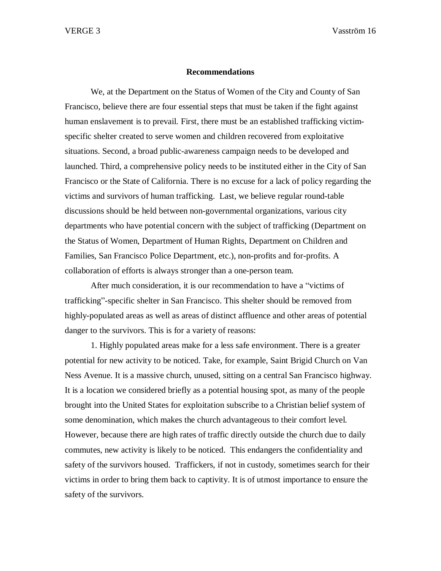#### **Recommendations**

We, at the Department on the Status of Women of the City and County of San Francisco, believe there are four essential steps that must be taken if the fight against human enslavement is to prevail. First, there must be an established trafficking victimspecific shelter created to serve women and children recovered from exploitative situations. Second, a broad public-awareness campaign needs to be developed and launched. Third, a comprehensive policy needs to be instituted either in the City of San Francisco or the State of California. There is no excuse for a lack of policy regarding the victims and survivors of human trafficking. Last, we believe regular round-table discussions should be held between non-governmental organizations, various city departments who have potential concern with the subject of trafficking (Department on the Status of Women, Department of Human Rights, Department on Children and Families, San Francisco Police Department, etc.), non-profits and for-profits. A collaboration of efforts is always stronger than a one-person team.

After much consideration, it is our recommendation to have a "victims of trafficking"-specific shelter in San Francisco. This shelter should be removed from highly-populated areas as well as areas of distinct affluence and other areas of potential danger to the survivors. This is for a variety of reasons:

1. Highly populated areas make for a less safe environment. There is a greater potential for new activity to be noticed. Take, for example, Saint Brigid Church on Van Ness Avenue. It is a massive church, unused, sitting on a central San Francisco highway. It is a location we considered briefly as a potential housing spot, as many of the people brought into the United States for exploitation subscribe to a Christian belief system of some denomination, which makes the church advantageous to their comfort level. However, because there are high rates of traffic directly outside the church due to daily commutes, new activity is likely to be noticed. This endangers the confidentiality and safety of the survivors housed. Traffickers, if not in custody, sometimes search for their victims in order to bring them back to captivity. It is of utmost importance to ensure the safety of the survivors.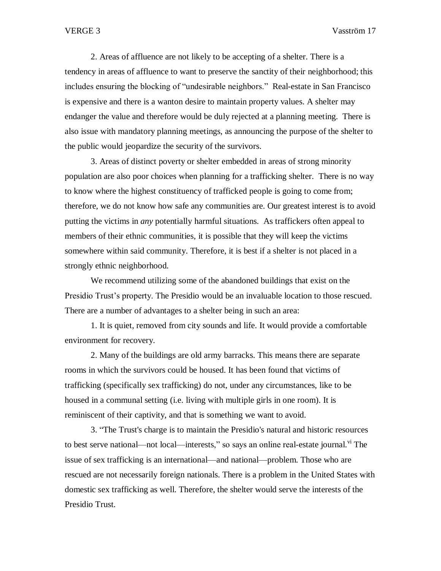2. Areas of affluence are not likely to be accepting of a shelter. There is a tendency in areas of affluence to want to preserve the sanctity of their neighborhood; this includes ensuring the blocking of "undesirable neighbors." Real-estate in San Francisco is expensive and there is a wanton desire to maintain property values. A shelter may endanger the value and therefore would be duly rejected at a planning meeting. There is also issue with mandatory planning meetings, as announcing the purpose of the shelter to the public would jeopardize the security of the survivors.

3. Areas of distinct poverty or shelter embedded in areas of strong minority population are also poor choices when planning for a trafficking shelter. There is no way to know where the highest constituency of trafficked people is going to come from; therefore, we do not know how safe any communities are. Our greatest interest is to avoid putting the victims in *any* potentially harmful situations. As traffickers often appeal to members of their ethnic communities, it is possible that they will keep the victims somewhere within said community. Therefore, it is best if a shelter is not placed in a strongly ethnic neighborhood.

We recommend utilizing some of the abandoned buildings that exist on the Presidio Trust's property. The Presidio would be an invaluable location to those rescued. There are a number of advantages to a shelter being in such an area:

1. It is quiet, removed from city sounds and life. It would provide a comfortable environment for recovery.

2. Many of the buildings are old army barracks. This means there are separate rooms in which the survivors could be housed. It has been found that victims of trafficking (specifically sex trafficking) do not, under any circumstances, like to be housed in a communal setting (i.e. living with multiple girls in one room). It is reminiscent of their captivity, and that is something we want to avoid.

3. "The Trust's charge is to maintain the Presidio's natural and historic resources to best serve national—not local—interests," so says an online real-estate journal.  $\frac{v_i}{v_i}$  The issue of sex trafficking is an international—and national—problem. Those who are rescued are not necessarily foreign nationals. There is a problem in the United States with domestic sex trafficking as well. Therefore, the shelter would serve the interests of the Presidio Trust.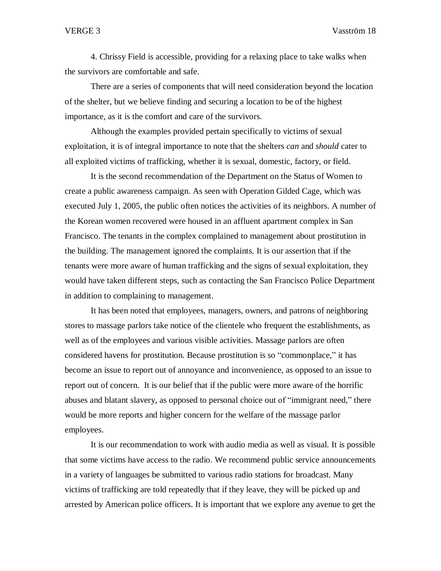4. Chrissy Field is accessible, providing for a relaxing place to take walks when the survivors are comfortable and safe.

There are a series of components that will need consideration beyond the location of the shelter, but we believe finding and securing a location to be of the highest importance, as it is the comfort and care of the survivors.

Although the examples provided pertain specifically to victims of sexual exploitation, it is of integral importance to note that the shelters *can* and *should* cater to all exploited victims of trafficking, whether it is sexual, domestic, factory, or field.

It is the second recommendation of the Department on the Status of Women to create a public awareness campaign. As seen with Operation Gilded Cage, which was executed July 1, 2005, the public often notices the activities of its neighbors. A number of the Korean women recovered were housed in an affluent apartment complex in San Francisco. The tenants in the complex complained to management about prostitution in the building. The management ignored the complaints. It is our assertion that if the tenants were more aware of human trafficking and the signs of sexual exploitation, they would have taken different steps, such as contacting the San Francisco Police Department in addition to complaining to management.

It has been noted that employees, managers, owners, and patrons of neighboring stores to massage parlors take notice of the clientele who frequent the establishments, as well as of the employees and various visible activities. Massage parlors are often considered havens for prostitution. Because prostitution is so "commonplace," it has become an issue to report out of annoyance and inconvenience, as opposed to an issue to report out of concern. It is our belief that if the public were more aware of the horrific abuses and blatant slavery, as opposed to personal choice out of "immigrant need," there would be more reports and higher concern for the welfare of the massage parlor employees.

It is our recommendation to work with audio media as well as visual. It is possible that some victims have access to the radio. We recommend public service announcements in a variety of languages be submitted to various radio stations for broadcast. Many victims of trafficking are told repeatedly that if they leave, they will be picked up and arrested by American police officers. It is important that we explore any avenue to get the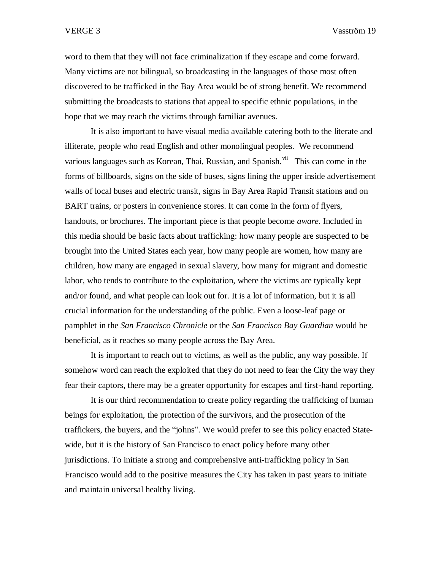word to them that they will not face criminalization if they escape and come forward. Many victims are not bilingual, so broadcasting in the languages of those most often discovered to be trafficked in the Bay Area would be of strong benefit. We recommend submitting the broadcasts to stations that appeal to specific ethnic populations, in the hope that we may reach the victims through familiar avenues.

It is also important to have visual media available catering both to the literate and illiterate, people who read English and other monolingual peoples. We recommend various languages such as Korean, Thai, Russian, and Spanish.<sup>vii</sup> This can come in the forms of billboards, signs on the side of buses, signs lining the upper inside advertisement walls of local buses and electric transit, signs in Bay Area Rapid Transit stations and on BART trains, or posters in convenience stores. It can come in the form of flyers, handouts, or brochures. The important piece is that people become *aware*. Included in this media should be basic facts about trafficking: how many people are suspected to be brought into the United States each year, how many people are women, how many are children, how many are engaged in sexual slavery, how many for migrant and domestic labor, who tends to contribute to the exploitation, where the victims are typically kept and/or found, and what people can look out for. It is a lot of information, but it is all crucial information for the understanding of the public. Even a loose-leaf page or pamphlet in the *San Francisco Chronicle* or the *San Francisco Bay Guardian* would be beneficial, as it reaches so many people across the Bay Area.

It is important to reach out to victims, as well as the public, any way possible. If somehow word can reach the exploited that they do not need to fear the City the way they fear their captors, there may be a greater opportunity for escapes and first-hand reporting.

It is our third recommendation to create policy regarding the trafficking of human beings for exploitation, the protection of the survivors, and the prosecution of the traffickers, the buyers, and the "johns". We would prefer to see this policy enacted Statewide, but it is the history of San Francisco to enact policy before many other jurisdictions. To initiate a strong and comprehensive anti-trafficking policy in San Francisco would add to the positive measures the City has taken in past years to initiate and maintain universal healthy living.